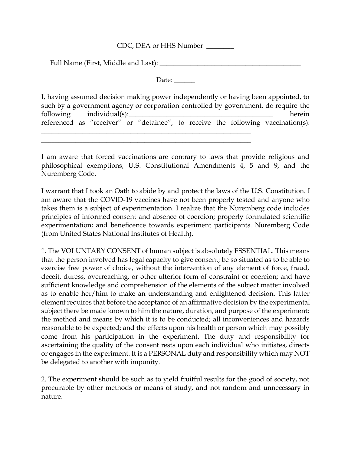#### CDC, DEA or HHS Number \_\_\_\_\_\_\_\_

Full Name (First, Middle and Last): \_\_\_\_\_\_\_\_\_\_\_\_\_\_\_\_\_\_\_\_\_\_\_\_\_\_\_\_\_\_\_\_\_\_\_\_\_\_\_\_\_

Date:

| I, having assumed decision making power independently or having been appointed, to  |  |                          |  |  |  |  |  |  |                                                                                  |
|-------------------------------------------------------------------------------------|--|--------------------------|--|--|--|--|--|--|----------------------------------------------------------------------------------|
| such by a government agency or corporation controlled by government, do require the |  |                          |  |  |  |  |  |  |                                                                                  |
|                                                                                     |  | following individual(s): |  |  |  |  |  |  | herein                                                                           |
|                                                                                     |  |                          |  |  |  |  |  |  | referenced as "receiver" or "detainee", to receive the following vaccination(s): |
|                                                                                     |  |                          |  |  |  |  |  |  |                                                                                  |

I am aware that forced vaccinations are contrary to laws that provide religious and philosophical exemptions, U.S. Constitutional Amendments 4, 5 and 9, and the Nuremberg Code.

\_\_\_\_\_\_\_\_\_\_\_\_\_\_\_\_\_\_\_\_\_\_\_\_\_\_\_\_\_\_\_\_\_\_\_\_\_\_\_\_\_\_\_\_\_\_\_\_\_\_\_\_\_\_\_\_\_\_\_\_\_

I warrant that I took an Oath to abide by and protect the laws of the U.S. Constitution. I am aware that the COVID-19 vaccines have not been properly tested and anyone who takes them is a subject of experimentation. I realize that the Nuremberg code includes principles of informed consent and absence of coercion; properly formulated scientific experimentation; and beneficence towards experiment participants. Nuremberg Code (from United States National Institutes of Health).

1. The VOLUNTARY CONSENT of human subject is absolutely ESSENTIAL. This means that the person involved has legal capacity to give consent; be so situated as to be able to exercise free power of choice, without the intervention of any element of force, fraud, deceit, duress, overreaching, or other ulterior form of constraint or coercion; and have sufficient knowledge and comprehension of the elements of the subject matter involved as to enable her/him to make an understanding and enlightened decision. This latter element requires that before the acceptance of an affirmative decision by the experimental subject there be made known to him the nature, duration, and purpose of the experiment; the method and means by which it is to be conducted; all inconveniences and hazards reasonable to be expected; and the effects upon his health or person which may possibly come from his participation in the experiment. The duty and responsibility for ascertaining the quality of the consent rests upon each individual who initiates, directs or engages in the experiment. It is a PERSONAL duty and responsibility which may NOT be delegated to another with impunity.

2. The experiment should be such as to yield fruitful results for the good of society, not procurable by other methods or means of study, and not random and unnecessary in nature.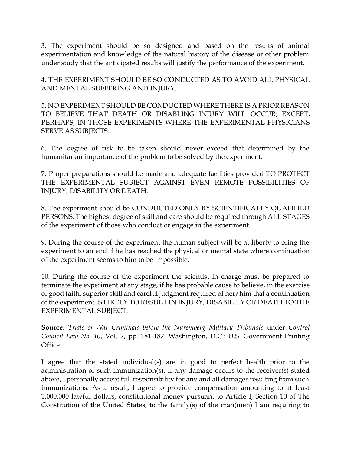3. The experiment should be so designed and based on the results of animal experimentation and knowledge of the natural history of the disease or other problem under study that the anticipated results will justify the performance of the experiment.

4. THE EXPERIMENT SHOULD BE SO CONDUCTED AS TO AVOID ALL PHYSICAL AND MENTAL SUFFERING AND INJURY.

5. NO EXPERIMENT SHOULD BE CONDUCTED WHERE THERE IS A PRIOR REASON TO BELIEVE THAT DEATH OR DISABLING INJURY WILL OCCUR; EXCEPT, PERHAPS, IN THOSE EXPERIMENTS WHERE THE EXPERIMENTAL PHYSICIANS SERVE AS SUBJECTS.

6. The degree of risk to be taken should never exceed that determined by the humanitarian importance of the problem to be solved by the experiment.

7. Proper preparations should be made and adequate facilities provided TO PROTECT THE EXPERIMENTAL SUBJECT AGAINST EVEN REMOTE POSSIBILITIES OF INJURY, DISABILITY OR DEATH.

8. The experiment should be CONDUCTED ONLY BY SCIENTIFICALLY QUALIFIED PERSONS. The highest degree of skill and care should be required through ALL STAGES of the experiment of those who conduct or engage in the experiment.

9. During the course of the experiment the human subject will be at liberty to bring the experiment to an end if he has reached the physical or mental state where continuation of the experiment seems to him to be impossible.

10. During the course of the experiment the scientist in charge must be prepared to terminate the experiment at any stage, if he has probable cause to believe, in the exercise of good faith, superior skill and careful judgment required of her/him that a continuation of the experiment IS LIKELY TO RESULT IN INJURY, DISABILITY OR DEATH TO THE EXPERIMENTAL SUBJECT.

**Source**: *Trials of War Criminals before the Nuremberg Military Tribunals* under *Control Council Law No. 10*, Vol. 2, pp. 181-182. Washington, D.C.: U.S. Government Printing **Office** 

I agree that the stated individual(s) are in good to perfect health prior to the administration of such immunization(s). If any damage occurs to the receiver(s) stated above, I personally accept full responsibility for any and all damages resulting from such immunizations. As a result, I agree to provide compensation amounting to at least 1,000,000 lawful dollars, constitutional money pursuant to Article I, Section 10 of The Constitution of the United States, to the family(s) of the man(men) I am requiring to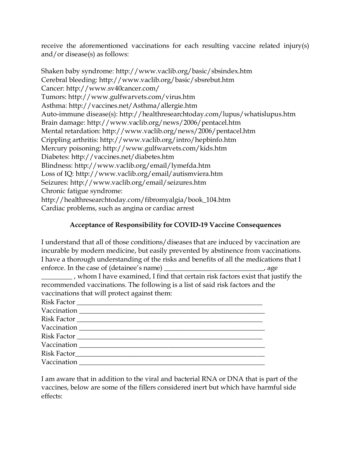receive the aforementioned vaccinations for each resulting vaccine related injury(s) and/or disease(s) as follows:

Shaken baby syndrome: http://www.vaclib.org/basic/sbsindex.htm Cerebral bleeding: http://www.vaclib.org/basic/sbsrebut.htm Cancer: http://www.sv40cancer.com/ Tumors: http://www.gulfwarvets.com/virus.htm Asthma: http://vaccines.net/Asthma/allergie.htm Auto-immune disease(s): http://healthresearchtoday.com/lupus/whatislupus.htm Brain damage: http://www.vaclib.org/news/2006/pentacel.htm Mental retardation: http://www.vaclib.org/news/2006/pentacel.htm Crippling arthritis: http://www.vaclib.org/intro/hepbinfo.htm Mercury poisoning: http://www.gulfwarvets.com/kids.htm Diabetes: http://vaccines.net/diabetes.htm Blindness: http://www.vaclib.org/email/lymefda.htm Loss of IQ: http://www.vaclib.org/email/autismviera.htm Seizures: http://www.vaclib.org/email/seizures.htm Chronic fatigue syndrome: http://healthresearchtoday.com/fibromyalgia/book\_104.htm Cardiac problems, such as angina or cardiac arrest

## **Acceptance of Responsibility for COVID-19 Vaccine Consequences**

I understand that all of those conditions/diseases that are induced by vaccination are incurable by modern medicine, but easily prevented by abstinence from vaccinations. I have a thorough understanding of the risks and benefits of all the medications that I enforce. In the case of (detainee's name) \_\_\_\_\_\_\_\_\_\_\_\_\_\_\_\_\_\_\_\_\_\_\_\_\_, age

\_\_\_\_\_\_\_\_\_ , whom I have examined, I find that certain risk factors exist that justify the recommended vaccinations. The following is a list of said risk factors and the vaccinations that will protect against them:

| Risk Factor |
|-------------|
|             |
|             |
|             |
|             |
|             |
|             |
|             |

I am aware that in addition to the viral and bacterial RNA or DNA that is part of the vaccines, below are some of the fillers considered inert but which have harmful side effects: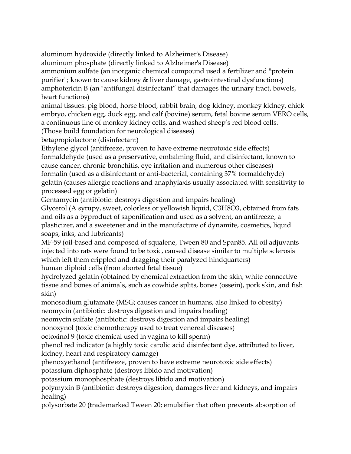aluminum hydroxide (directly linked to Alzheimer's Disease)

aluminum phosphate (directly linked to Alzheimer's Disease)

ammonium sulfate (an inorganic chemical compound used a fertilizer and "protein purifier"; known to cause kidney & liver damage, gastrointestinal dysfunctions) amphotericin B (an "antifungal disinfectant" that damages the urinary tract, bowels, heart functions)

animal tissues: pig blood, horse blood, rabbit brain, dog kidney, monkey kidney, chick embryo, chicken egg, duck egg, and calf (bovine) serum, fetal bovine serum VERO cells, a continuous line of monkey kidney cells, and washed sheep's red blood cells.

(Those build foundation for neurological diseases)

betapropiolactone (disinfectant)

Ethylene glycol (antifreeze, proven to have extreme neurotoxic side effects) formaldehyde (used as a preservative, embalming fluid, and disinfectant, known to cause cancer, chronic bronchitis, eye irritation and numerous other diseases) formalin (used as a disinfectant or anti-bacterial, containing 37% formaldehyde) gelatin (causes allergic reactions and anaphylaxis usually associated with sensitivity to processed egg or gelatin)

Gentamycin (antibiotic: destroys digestion and impairs healing)

Glycerol (A syrupy, sweet, colorless or yellowish liquid, C3H8O3, obtained from fats and oils as a byproduct of saponification and used as a solvent, an antifreeze, a plasticizer, and a sweetener and in the manufacture of dynamite, cosmetics, liquid soaps, inks, and lubricants)

MF-59 (oil-based and composed of squalene, Tween 80 and Span85. All oil adjuvants injected into rats were found to be toxic, caused disease similar to multiple sclerosis which left them crippled and dragging their paralyzed hindquarters) human diploid cells (from aborted fetal tissue)

hydrolyzed gelatin (obtained by chemical extraction from the skin, white connective tissue and bones of animals, such as cowhide splits, bones (ossein), pork skin, and fish skin)

monosodium glutamate (MSG; causes cancer in humans, also linked to obesity) neomycin (antibiotic: destroys digestion and impairs healing)

neomycin sulfate (antibiotic: destroys digestion and impairs healing)

nonoxynol (toxic chemotherapy used to treat venereal diseases)

octoxinol 9 (toxic chemical used in vagina to kill sperm)

phenol red indicator (a highly toxic carolic acid disinfectant dye, attributed to liver, kidney, heart and respiratory damage)

phenoxyethanol (antifreeze, proven to have extreme neurotoxic side effects)

potassium diphosphate (destroys libido and motivation)

potassium monophosphate (destroys libido and motivation)

polymyxin B (antibiotic: destroys digestion, damages liver and kidneys, and impairs healing)

polysorbate 20 (trademarked Tween 20; emulsifier that often prevents absorption of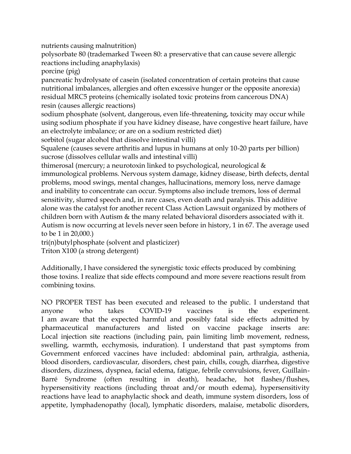nutrients causing malnutrition)

polysorbate 80 (trademarked Tween 80: a preservative that can cause severe allergic reactions including anaphylaxis)

porcine (pig)

pancreatic hydrolysate of casein (isolated concentration of certain proteins that cause nutritional imbalances, allergies and often excessive hunger or the opposite anorexia) residual MRC5 proteins (chemically isolated toxic proteins from cancerous DNA) resin (causes allergic reactions)

sodium phosphate (solvent, dangerous, even life-threatening, toxicity may occur while using sodium phosphate if you have kidney disease, have congestive heart failure, have an electrolyte imbalance; or are on a sodium restricted diet)

sorbitol (sugar alcohol that dissolve intestinal villi)

Squalene (causes severe arthritis and lupus in humans at only 10-20 parts per billion) sucrose (dissolves cellular walls and intestinal villi)

thimerosal (mercury; a neurotoxin linked to psychological, neurological & immunological problems. Nervous system damage, kidney disease, birth defects, dental problems, mood swings, mental changes, hallucinations, memory loss, nerve damage and inability to concentrate can occur. Symptoms also include tremors, loss of dermal sensitivity, slurred speech and, in rare cases, even death and paralysis. This additive alone was the catalyst for another recent Class Action Lawsuit organized by mothers of children born with Autism & the many related behavioral disorders associated with it. Autism is now occurring at levels never seen before in history, 1 in 67. The average used to be 1 in 20,000.)

tri(n)butylphosphate (solvent and plasticizer)

Triton X100 (a strong detergent)

Additionally, I have considered the synergistic toxic effects produced by combining those toxins. I realize that side effects compound and more severe reactions result from combining toxins.

NO PROPER TEST has been executed and released to the public. I understand that anyone who takes COVID-19 vaccines is the experiment. I am aware that the expected harmful and possibly fatal side effects admitted by pharmaceutical manufacturers and listed on vaccine package inserts are: Local injection site reactions (including pain, pain limiting limb movement, redness, swelling, warmth, ecchymosis, induration). I understand that past symptoms from Government enforced vaccines have included: abdominal pain, arthralgia, asthenia, blood disorders, cardiovascular, disorders, chest pain, chills, cough, diarrhea, digestive disorders, dizziness, dyspnea, facial edema, fatigue, febrile convulsions, fever, Guillain-Barré Syndrome (often resulting in death), headache, hot flashes/flushes, hypersensitivity reactions (including throat and/or mouth edema), hypersensitivity reactions have lead to anaphylactic shock and death, immune system disorders, loss of appetite, lymphadenopathy (local), lymphatic disorders, malaise, metabolic disorders,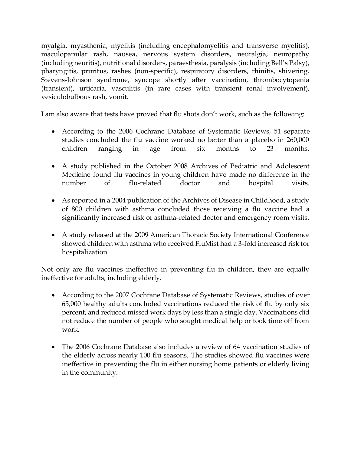myalgia, myasthenia, myelitis (including encephalomyelitis and transverse myelitis), maculopapular rash, nausea, nervous system disorders, neuralgia, neuropathy (including neuritis), nutritional disorders, paraesthesia, paralysis (including Bell's Palsy), pharyngitis, pruritus, rashes (non-specific), respiratory disorders, rhinitis, shivering, Stevens-Johnson syndrome, syncope shortly after vaccination, thrombocytopenia (transient), urticaria, vasculitis (in rare cases with transient renal involvement), vesiculobulbous rash, vomit.

I am also aware that tests have proved that flu shots don't work, such as the following:

- According to the 2006 Cochrane Database of Systematic Reviews, 51 separate studies concluded the flu vaccine worked no better than a placebo in 260,000 children ranging in age from six months to 23 months.
- A study published in the October 2008 Archives of Pediatric and Adolescent Medicine found flu vaccines in young children have made no difference in the number of flu-related doctor and hospital visits.
- As reported in a 2004 publication of the Archives of Disease in Childhood, a study of 800 children with asthma concluded those receiving a flu vaccine had a significantly increased risk of asthma-related doctor and emergency room visits.
- A study released at the 2009 American Thoracic Society International Conference showed children with asthma who received FluMist had a 3-fold increased risk for hospitalization.

Not only are flu vaccines ineffective in preventing flu in children, they are equally ineffective for adults, including elderly.

- According to the 2007 Cochrane Database of Systematic Reviews, studies of over 65,000 healthy adults concluded vaccinations reduced the risk of flu by only six percent, and reduced missed work days by less than a single day. Vaccinations did not reduce the number of people who sought medical help or took time off from work.
- The 2006 Cochrane Database also includes a review of 64 vaccination studies of the elderly across nearly 100 flu seasons. The studies showed flu vaccines were ineffective in preventing the flu in either nursing home patients or elderly living in the community.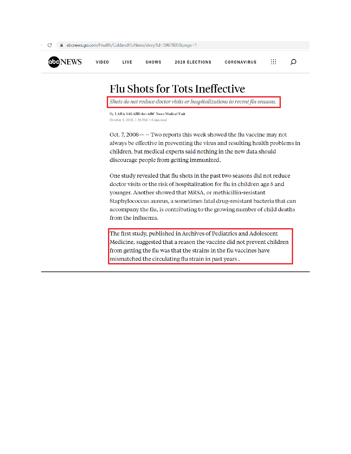

# **Flu Shots for Tots Ineffective**

Shots do not reduce doctor visits or hospitalizations in recent flu seasons.

By LARA SALAHI<br>ABC News Medical Unit October 6, 2008, 1:36 PM · 6 min read

Oct. 7, 2008 - -- Two reports this week showed the flu vaccine may not always be effective in preventing the virus and resulting health problems in children, but medical experts said nothing in the new data should discourage people from getting immunized.

One study revealed that flu shots in the past two seasons did not reduce doctor visits or the risk of hospitalization for flu in children age 5 and younger. Another showed that MRSA, or methicillin-resistant Staphylococcus aureus, a sometimes fatal drug-resistant bacteria that can accompany the flu, is contributing to the growing number of child deaths from the influenza.

The first study, published in Archives of Pediatrics and Adolescent Medicine, suggested that a reason the vaccine did not prevent children from getting the flu was that the strains in the flu vaccines have mismatched the circulating flu strain in past years.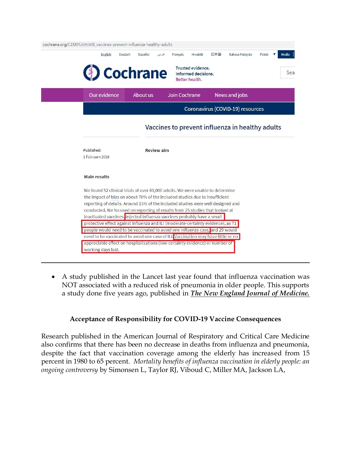| cochrane.org/CD001269/ARI vaccines-prevent-influenza-healthy-adults          | English      | Español<br>Deutsch | Français<br>فارسى                                                                                                                                                                                                                                                                                                                                                                                           | Hrvatski                                                   | 日本語 | Bahasa Malaysia                  | Polski |  |
|------------------------------------------------------------------------------|--------------|--------------------|-------------------------------------------------------------------------------------------------------------------------------------------------------------------------------------------------------------------------------------------------------------------------------------------------------------------------------------------------------------------------------------------------------------|------------------------------------------------------------|-----|----------------------------------|--------|--|
|                                                                              |              | Cochrane           |                                                                                                                                                                                                                                                                                                                                                                                                             | Trusted evidence.<br>Informed decisions.<br>Better health. |     |                                  |        |  |
|                                                                              | Our evidence | About us           | Join Cochrane                                                                                                                                                                                                                                                                                                                                                                                               |                                                            |     | <b>News and jobs</b>             |        |  |
|                                                                              |              |                    |                                                                                                                                                                                                                                                                                                                                                                                                             |                                                            |     | Coronavirus (COVID-19) resources |        |  |
|                                                                              |              |                    | Vaccines to prevent influenza in healthy adults                                                                                                                                                                                                                                                                                                                                                             |                                                            |     |                                  |        |  |
| Published:<br>1 February 2018                                                |              |                    | <b>Review aim</b>                                                                                                                                                                                                                                                                                                                                                                                           |                                                            |     |                                  |        |  |
| <b>Main results</b>                                                          |              |                    |                                                                                                                                                                                                                                                                                                                                                                                                             |                                                            |     |                                  |        |  |
|                                                                              |              |                    | We found 52 clinical trials of over 80,000 adults. We were unable to determine<br>the impact of bias on about 70% of the included studies due to insufficient<br>reporting of details. Around 15% of the included studies were well designed and<br>conducted. We focused on reporting of results from 25 studies that looked at<br>inactivated vaccines. Injected influenza vaccines probably have a small |                                                            |     |                                  |        |  |
|                                                                              |              |                    | protective effect against influenza and ILI (moderate-certainty evidence), as 71<br>people would need to be vaccinated to avoid one influenza case, and 29 would                                                                                                                                                                                                                                            |                                                            |     |                                  |        |  |
| appreciable effect on hospitalisations (low-certainty evidence) or number of |              |                    | need to be vaccinated to avoid one case of ILI. Vaccination may have little or no                                                                                                                                                                                                                                                                                                                           |                                                            |     |                                  |        |  |

 A study published in the Lancet last year found that influenza vaccination was NOT associated with a reduced risk of pneumonia in older people. This supports a study done five years ago, published in *The New England Journal of Medicine.*

### **Acceptance of Responsibility for COVID-19 Vaccine Consequences**

Research published in the American Journal of Respiratory and Critical Care Medicine also confirms that there has been no decrease in deaths from influenza and pneumonia, despite the fact that vaccination coverage among the elderly has increased from 15 percent in 1980 to 65 percent. *Mortality benefits of influenza vaccination in elderly people: an ongoing controversy* by Simonsen L, Taylor RJ, Viboud C, Miller MA, Jackson LA,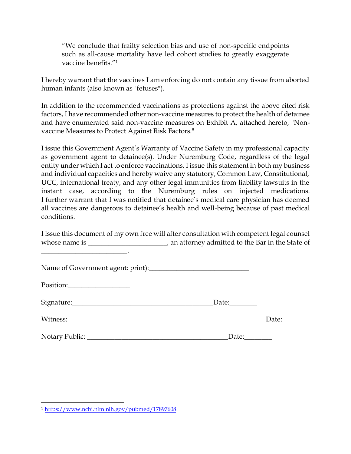"We conclude that frailty selection bias and use of non-specific endpoints such as all-cause mortality have led cohort studies to greatly exaggerate vaccine benefits<sup>"1</sup>

I hereby warrant that the vaccines I am enforcing do not contain any tissue from aborted human infants (also known as "fetuses").

In addition to the recommended vaccinations as protections against the above cited risk factors, I have recommended other non-vaccine measures to protect the health of detainee and have enumerated said non-vaccine measures on Exhibit A, attached hereto, "Nonvaccine Measures to Protect Against Risk Factors."

I issue this Government Agent's Warranty of Vaccine Safety in my professional capacity as government agent to detainee(s). Under Nuremburg Code, regardless of the legal entity under which I act to enforce vaccinations, I issue this statement in both my business and individual capacities and hereby waive any statutory, Common Law, Constitutional, UCC, international treaty, and any other legal immunities from liability lawsuits in the instant case, according to the Nuremburg rules on injected medications. I further warrant that I was notified that detainee's medical care physician has deemed all vaccines are dangerous to detainee's health and well-being because of past medical conditions.

I issue this document of my own free will after consultation with competent legal counsel whose name is \_\_\_\_\_\_\_\_\_\_\_\_\_\_\_\_\_\_\_\_, an attorney admitted to the Bar in the State of \_\_\_\_\_\_\_\_\_\_\_\_\_\_\_\_\_\_\_\_\_\_\_\_\_.

| Position: |                         |  |
|-----------|-------------------------|--|
|           | $\Delta$ Date: $\Delta$ |  |
| Witness:  | Date:                   |  |
|           | Date:                   |  |

 $\overline{a}$ 

<sup>1</sup> <https://www.ncbi.nlm.nih.gov/pubmed/17897608>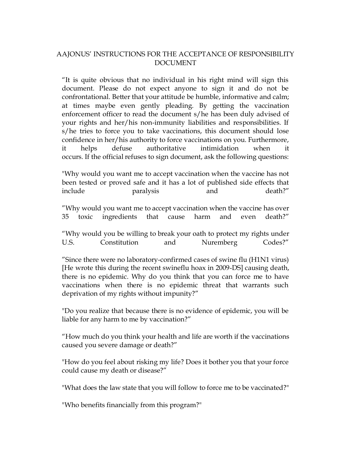### AAJONUS' INSTRUCTIONS FOR THE ACCEPTANCE OF RESPONSIBILITY DOCUMENT

"It is quite obvious that no individual in his right mind will sign this document. Please do not expect anyone to sign it and do not be confrontational. Better that your attitude be humble, informative and calm; at times maybe even gently pleading. By getting the vaccination enforcement officer to read the document s/he has been duly advised of your rights and her/his non-immunity liabilities and responsibilities. If s/he tries to force you to take vaccinations, this document should lose confidence in her/his authority to force vaccinations on you. Furthermore, it helps defuse authoritative intimidation when it occurs. If the official refuses to sign document, ask the following questions:

"Why would you want me to accept vaccination when the vaccine has not been tested or proved safe and it has a lot of published side effects that include paralysis and death?"

"Why would you want me to accept vaccination when the vaccine has over 35 toxic ingredients that cause harm and even death?"

"Why would you be willing to break your oath to protect my rights under U.S. Constitution and Nuremberg Codes?"

"Since there were no laboratory-confirmed cases of swine flu (H1N1 virus) [He wrote this during the recent swineflu hoax in 2009-DS] causing death, there is no epidemic. Why do you think that you can force me to have vaccinations when there is no epidemic threat that warrants such deprivation of my rights without impunity?"

"Do you realize that because there is no evidence of epidemic, you will be liable for any harm to me by vaccination?"

"How much do you think your health and life are worth if the vaccinations caused you severe damage or death?"

"How do you feel about risking my life? Does it bother you that your force could cause my death or disease?"

"What does the law state that you will follow to force me to be vaccinated?"

"Who benefits financially from this program?"